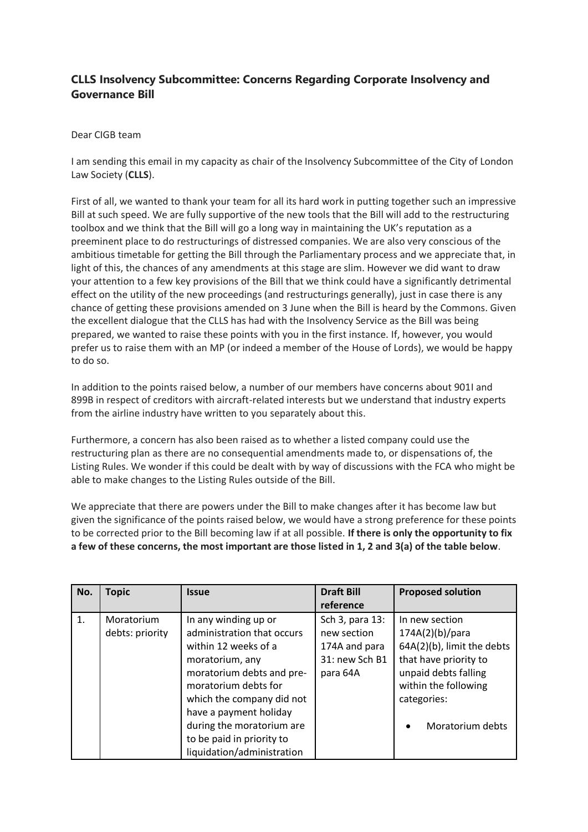## **CLLS Insolvency Subcommittee: Concerns Regarding Corporate Insolvency and Governance Bill**

## Dear CIGB team

I am sending this email in my capacity as chair of the Insolvency Subcommittee of the City of London Law Society (**CLLS**).

First of all, we wanted to thank your team for all its hard work in putting together such an impressive Bill at such speed. We are fully supportive of the new tools that the Bill will add to the restructuring toolbox and we think that the Bill will go a long way in maintaining the UK's reputation as a preeminent place to do restructurings of distressed companies. We are also very conscious of the ambitious timetable for getting the Bill through the Parliamentary process and we appreciate that, in light of this, the chances of any amendments at this stage are slim. However we did want to draw your attention to a few key provisions of the Bill that we think could have a significantly detrimental effect on the utility of the new proceedings (and restructurings generally), just in case there is any chance of getting these provisions amended on 3 June when the Bill is heard by the Commons. Given the excellent dialogue that the CLLS has had with the Insolvency Service as the Bill was being prepared, we wanted to raise these points with you in the first instance. If, however, you would prefer us to raise them with an MP (or indeed a member of the House of Lords), we would be happy to do so.

In addition to the points raised below, a number of our members have concerns about 901I and 899B in respect of creditors with aircraft-related interests but we understand that industry experts from the airline industry have written to you separately about this.

Furthermore, a concern has also been raised as to whether a listed company could use the restructuring plan as there are no consequential amendments made to, or dispensations of, the Listing Rules. We wonder if this could be dealt with by way of discussions with the FCA who might be able to make changes to the Listing Rules outside of the Bill.

We appreciate that there are powers under the Bill to make changes after it has become law but given the significance of the points raised below, we would have a strong preference for these points to be corrected prior to the Bill becoming law if at all possible. **If there is only the opportunity to fix a few of these concerns, the most important are those listed in 1, 2 and 3(a) of the table below**.

| No. | <b>Topic</b>                  | <b>Issue</b>                                                                                                                                                                                                                                                        | <b>Draft Bill</b>                                                             | <b>Proposed solution</b>                                                                                                                                                                 |
|-----|-------------------------------|---------------------------------------------------------------------------------------------------------------------------------------------------------------------------------------------------------------------------------------------------------------------|-------------------------------------------------------------------------------|------------------------------------------------------------------------------------------------------------------------------------------------------------------------------------------|
|     |                               |                                                                                                                                                                                                                                                                     | reference                                                                     |                                                                                                                                                                                          |
| 1.  | Moratorium<br>debts: priority | In any winding up or<br>administration that occurs<br>within 12 weeks of a<br>moratorium, any<br>moratorium debts and pre-<br>moratorium debts for<br>which the company did not<br>have a payment holiday<br>during the moratorium are<br>to be paid in priority to | Sch 3, para 13:<br>new section<br>174A and para<br>31: new Sch B1<br>para 64A | In new section<br>174A(2)(b)/para<br>64A(2)(b), limit the debts<br>that have priority to<br>unpaid debts falling<br>within the following<br>categories:<br>Moratorium debts<br>$\bullet$ |
|     |                               | liquidation/administration                                                                                                                                                                                                                                          |                                                                               |                                                                                                                                                                                          |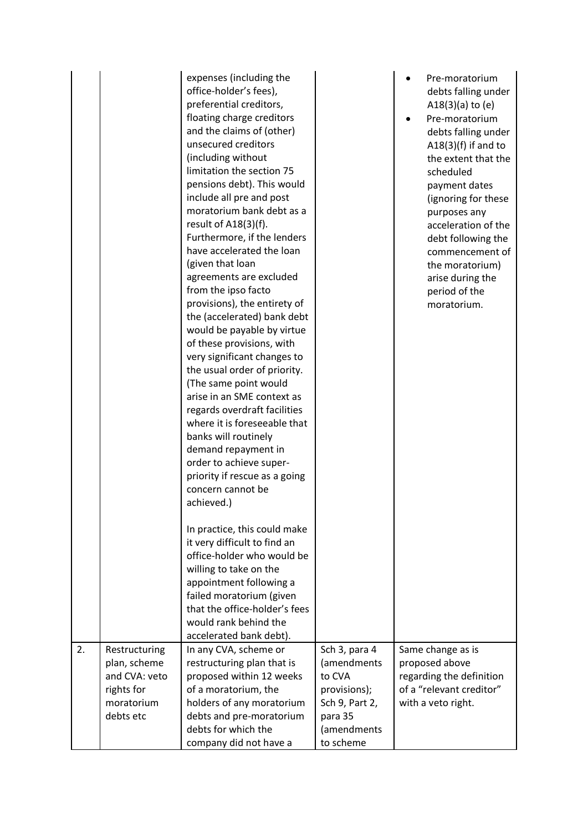| 2. |                                                                                         | expenses (including the<br>office-holder's fees),<br>preferential creditors,<br>floating charge creditors<br>and the claims of (other)<br>unsecured creditors<br>(including without<br>limitation the section 75<br>pensions debt). This would<br>include all pre and post<br>moratorium bank debt as a<br>result of A18(3)(f).<br>Furthermore, if the lenders<br>have accelerated the loan<br>(given that loan<br>agreements are excluded<br>from the ipso facto<br>provisions), the entirety of<br>the (accelerated) bank debt<br>would be payable by virtue<br>of these provisions, with<br>very significant changes to<br>the usual order of priority.<br>(The same point would<br>arise in an SME context as<br>regards overdraft facilities<br>where it is foreseeable that<br>banks will routinely<br>demand repayment in<br>order to achieve super-<br>priority if rescue as a going<br>concern cannot be<br>achieved.)<br>In practice, this could make<br>it very difficult to find an<br>office-holder who would be<br>willing to take on the<br>appointment following a<br>failed moratorium (given<br>that the office-holder's fees<br>would rank behind the<br>accelerated bank debt). |                                                                                                                 | Pre-moratorium<br>debts falling under<br>$A18(3)(a)$ to (e)<br>Pre-moratorium<br>debts falling under<br>$A18(3)(f)$ if and to<br>the extent that the<br>scheduled<br>payment dates<br>(ignoring for these<br>purposes any<br>acceleration of the<br>debt following the<br>commencement of<br>the moratorium)<br>arise during the<br>period of the<br>moratorium. |
|----|-----------------------------------------------------------------------------------------|-----------------------------------------------------------------------------------------------------------------------------------------------------------------------------------------------------------------------------------------------------------------------------------------------------------------------------------------------------------------------------------------------------------------------------------------------------------------------------------------------------------------------------------------------------------------------------------------------------------------------------------------------------------------------------------------------------------------------------------------------------------------------------------------------------------------------------------------------------------------------------------------------------------------------------------------------------------------------------------------------------------------------------------------------------------------------------------------------------------------------------------------------------------------------------------------------------|-----------------------------------------------------------------------------------------------------------------|------------------------------------------------------------------------------------------------------------------------------------------------------------------------------------------------------------------------------------------------------------------------------------------------------------------------------------------------------------------|
|    | Restructuring<br>plan, scheme<br>and CVA: veto<br>rights for<br>moratorium<br>debts etc | In any CVA, scheme or<br>restructuring plan that is<br>proposed within 12 weeks<br>of a moratorium, the<br>holders of any moratorium<br>debts and pre-moratorium<br>debts for which the<br>company did not have a                                                                                                                                                                                                                                                                                                                                                                                                                                                                                                                                                                                                                                                                                                                                                                                                                                                                                                                                                                                   | Sch 3, para 4<br>(amendments<br>to CVA<br>provisions);<br>Sch 9, Part 2,<br>para 35<br>(amendments<br>to scheme | Same change as is<br>proposed above<br>regarding the definition<br>of a "relevant creditor"<br>with a veto right.                                                                                                                                                                                                                                                |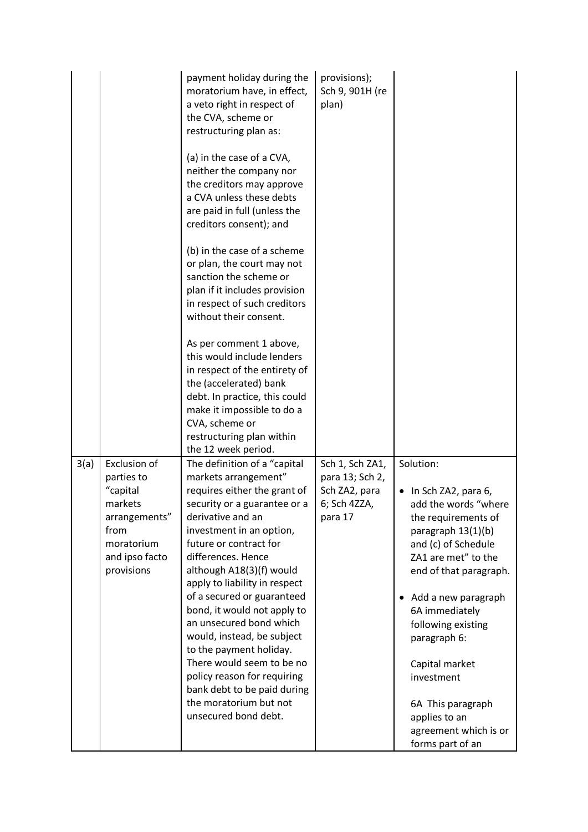|      |                                                                                                                          | payment holiday during the<br>moratorium have, in effect,<br>a veto right in respect of<br>the CVA, scheme or<br>restructuring plan as:<br>(a) in the case of a CVA,<br>neither the company nor<br>the creditors may approve<br>a CVA unless these debts<br>are paid in full (unless the<br>creditors consent); and<br>(b) in the case of a scheme<br>or plan, the court may not<br>sanction the scheme or<br>plan if it includes provision<br>in respect of such creditors<br>without their consent.<br>As per comment 1 above,<br>this would include lenders<br>in respect of the entirety of<br>the (accelerated) bank<br>debt. In practice, this could<br>make it impossible to do a<br>CVA, scheme or<br>restructuring plan within<br>the 12 week period. | provisions);<br>Sch 9, 901H (re<br>plan)                                       |                                                                                                                                                                                                                                                                                                                                                                          |
|------|--------------------------------------------------------------------------------------------------------------------------|----------------------------------------------------------------------------------------------------------------------------------------------------------------------------------------------------------------------------------------------------------------------------------------------------------------------------------------------------------------------------------------------------------------------------------------------------------------------------------------------------------------------------------------------------------------------------------------------------------------------------------------------------------------------------------------------------------------------------------------------------------------|--------------------------------------------------------------------------------|--------------------------------------------------------------------------------------------------------------------------------------------------------------------------------------------------------------------------------------------------------------------------------------------------------------------------------------------------------------------------|
| 3(a) | Exclusion of<br>parties to<br>"capital<br>markets<br>arrangements"<br>from<br>moratorium<br>and ipso facto<br>provisions | The definition of a "capital<br>markets arrangement"<br>requires either the grant of<br>security or a guarantee or a<br>derivative and an<br>investment in an option,<br>future or contract for<br>differences. Hence<br>although A18(3)(f) would<br>apply to liability in respect<br>of a secured or guaranteed<br>bond, it would not apply to<br>an unsecured bond which<br>would, instead, be subject<br>to the payment holiday.<br>There would seem to be no<br>policy reason for requiring<br>bank debt to be paid during<br>the moratorium but not<br>unsecured bond debt.                                                                                                                                                                               | Sch 1, Sch ZA1,<br>para 13; Sch 2,<br>Sch ZA2, para<br>6; Sch 4ZZA,<br>para 17 | Solution:<br>In Sch ZA2, para 6,<br>add the words "where<br>the requirements of<br>paragraph 13(1)(b)<br>and (c) of Schedule<br>ZA1 are met" to the<br>end of that paragraph.<br>Add a new paragraph<br>$\bullet$<br>6A immediately<br>following existing<br>paragraph 6:<br>Capital market<br>investment<br>6A This paragraph<br>applies to an<br>agreement which is or |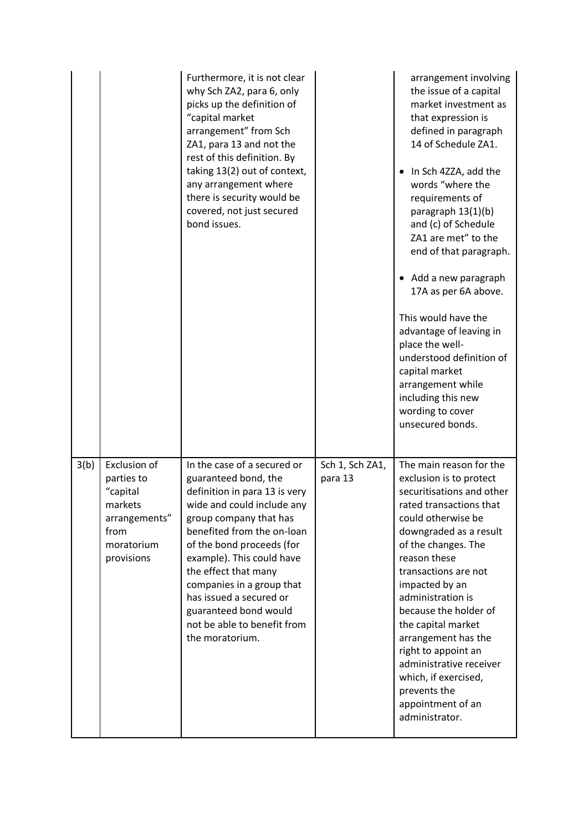|      |                                                                                                        | Furthermore, it is not clear<br>why Sch ZA2, para 6, only<br>picks up the definition of<br>"capital market<br>arrangement" from Sch<br>ZA1, para 13 and not the<br>rest of this definition. By<br>taking 13(2) out of context,<br>any arrangement where<br>there is security would be<br>covered, not just secured<br>bond issues.                                                              |                            | arrangement involving<br>the issue of a capital<br>market investment as<br>that expression is<br>defined in paragraph<br>14 of Schedule ZA1.<br>In Sch 4ZZA, add the<br>$\bullet$<br>words "where the<br>requirements of<br>paragraph 13(1)(b)<br>and (c) of Schedule<br>ZA1 are met" to the<br>end of that paragraph.<br>• Add a new paragraph<br>17A as per 6A above.<br>This would have the<br>advantage of leaving in<br>place the well-<br>understood definition of<br>capital market<br>arrangement while<br>including this new<br>wording to cover<br>unsecured bonds. |
|------|--------------------------------------------------------------------------------------------------------|-------------------------------------------------------------------------------------------------------------------------------------------------------------------------------------------------------------------------------------------------------------------------------------------------------------------------------------------------------------------------------------------------|----------------------------|-------------------------------------------------------------------------------------------------------------------------------------------------------------------------------------------------------------------------------------------------------------------------------------------------------------------------------------------------------------------------------------------------------------------------------------------------------------------------------------------------------------------------------------------------------------------------------|
| 3(b) | Exclusion of<br>parties to<br>"capital<br>markets<br>arrangements"<br>from<br>moratorium<br>provisions | In the case of a secured or<br>guaranteed bond, the<br>definition in para 13 is very<br>wide and could include any<br>group company that has<br>benefited from the on-loan<br>of the bond proceeds (for<br>example). This could have<br>the effect that many<br>companies in a group that<br>has issued a secured or<br>guaranteed bond would<br>not be able to benefit from<br>the moratorium. | Sch 1, Sch ZA1,<br>para 13 | The main reason for the<br>exclusion is to protect<br>securitisations and other<br>rated transactions that<br>could otherwise be<br>downgraded as a result<br>of the changes. The<br>reason these<br>transactions are not<br>impacted by an<br>administration is<br>because the holder of<br>the capital market<br>arrangement has the<br>right to appoint an<br>administrative receiver<br>which, if exercised,<br>prevents the<br>appointment of an<br>administrator.                                                                                                       |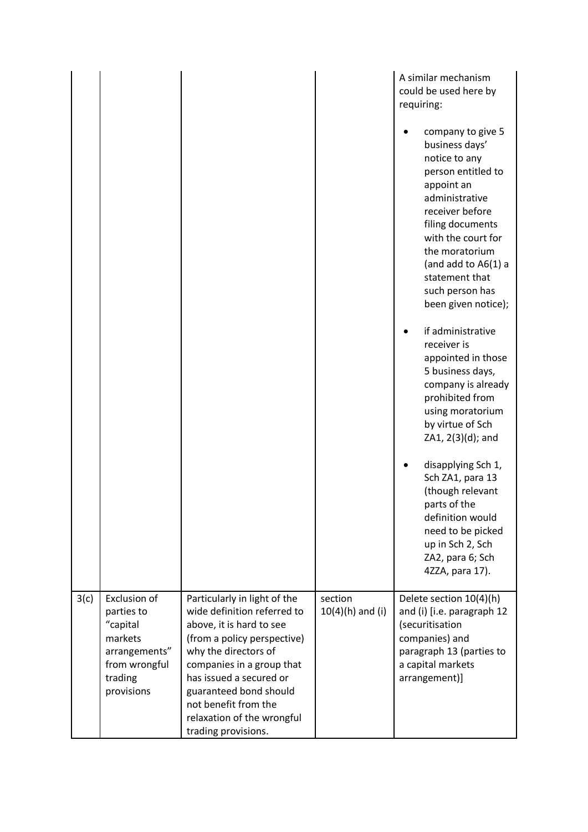|      |                                                                                                              |                                                                                                                                                                                                                                                                                                               |                               | A similar mechanism<br>could be used here by<br>requiring:<br>company to give 5<br>business days'<br>notice to any<br>person entitled to<br>appoint an<br>administrative<br>receiver before<br>filing documents<br>with the court for<br>the moratorium<br>(and add to $A6(1)$ a<br>statement that<br>such person has<br>been given notice);<br>if administrative<br>receiver is<br>appointed in those<br>5 business days,<br>company is already<br>prohibited from<br>using moratorium<br>by virtue of Sch<br>ZA1, 2(3)(d); and<br>disapplying Sch 1,<br>Sch ZA1, para 13<br>(though relevant<br>parts of the<br>definition would<br>need to be picked<br>up in Sch 2, Sch<br>ZA2, para 6; Sch<br>4ZZA, para 17). |
|------|--------------------------------------------------------------------------------------------------------------|---------------------------------------------------------------------------------------------------------------------------------------------------------------------------------------------------------------------------------------------------------------------------------------------------------------|-------------------------------|--------------------------------------------------------------------------------------------------------------------------------------------------------------------------------------------------------------------------------------------------------------------------------------------------------------------------------------------------------------------------------------------------------------------------------------------------------------------------------------------------------------------------------------------------------------------------------------------------------------------------------------------------------------------------------------------------------------------|
| 3(c) | Exclusion of<br>parties to<br>"capital<br>markets<br>arrangements"<br>from wrongful<br>trading<br>provisions | Particularly in light of the<br>wide definition referred to<br>above, it is hard to see<br>(from a policy perspective)<br>why the directors of<br>companies in a group that<br>has issued a secured or<br>guaranteed bond should<br>not benefit from the<br>relaxation of the wrongful<br>trading provisions. | section<br>$10(4)(h)$ and (i) | Delete section 10(4)(h)<br>and (i) [i.e. paragraph 12<br>(securitisation<br>companies) and<br>paragraph 13 (parties to<br>a capital markets<br>arrangement)]                                                                                                                                                                                                                                                                                                                                                                                                                                                                                                                                                       |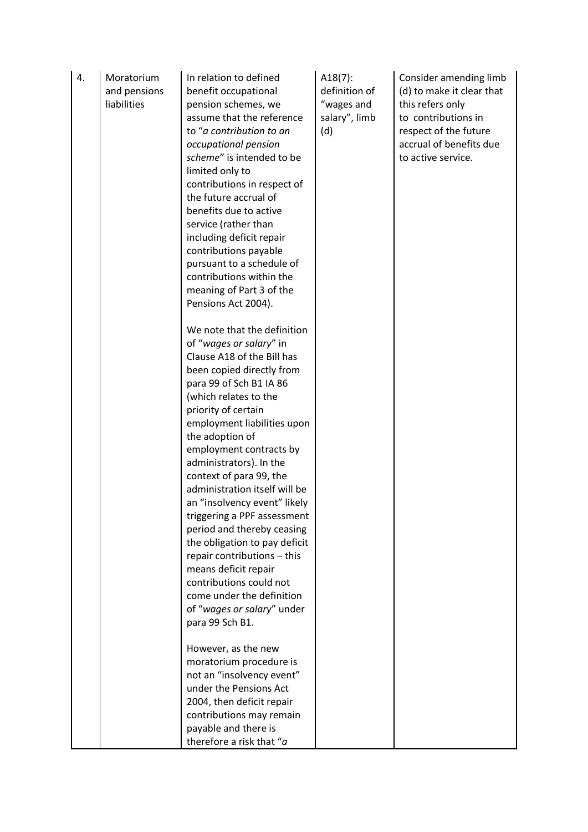| 4. | Moratorium<br>and pensions<br>liabilities | In relation to defined<br>benefit occupational<br>pension schemes, we<br>assume that the reference<br>to "a contribution to an<br>occupational pension<br>scheme" is intended to be<br>limited only to<br>contributions in respect of<br>the future accrual of<br>benefits due to active<br>service (rather than<br>including deficit repair<br>contributions payable<br>pursuant to a schedule of<br>contributions within the<br>meaning of Part 3 of the<br>Pensions Act 2004).                                                                                                                                                                              | $A18(7)$ :<br>definition of<br>"wages and<br>salary", limb<br>(d) | Consider amending limb<br>(d) to make it clear that<br>this refers only<br>to contributions in<br>respect of the future<br>accrual of benefits due<br>to active service. |
|----|-------------------------------------------|----------------------------------------------------------------------------------------------------------------------------------------------------------------------------------------------------------------------------------------------------------------------------------------------------------------------------------------------------------------------------------------------------------------------------------------------------------------------------------------------------------------------------------------------------------------------------------------------------------------------------------------------------------------|-------------------------------------------------------------------|--------------------------------------------------------------------------------------------------------------------------------------------------------------------------|
|    |                                           | We note that the definition<br>of "wages or salary" in<br>Clause A18 of the Bill has<br>been copied directly from<br>para 99 of Sch B1 IA 86<br>(which relates to the<br>priority of certain<br>employment liabilities upon<br>the adoption of<br>employment contracts by<br>administrators). In the<br>context of para 99, the<br>administration itself will be<br>an "insolvency event" likely<br>triggering a PPF assessment<br>period and thereby ceasing<br>the obligation to pay deficit<br>repair contributions - this<br>means deficit repair<br>contributions could not<br>come under the definition<br>of "wages or salary" under<br>para 99 Sch B1. |                                                                   |                                                                                                                                                                          |
|    |                                           | However, as the new<br>moratorium procedure is<br>not an "insolvency event"<br>under the Pensions Act<br>2004, then deficit repair<br>contributions may remain<br>payable and there is<br>therefore a risk that "a                                                                                                                                                                                                                                                                                                                                                                                                                                             |                                                                   |                                                                                                                                                                          |